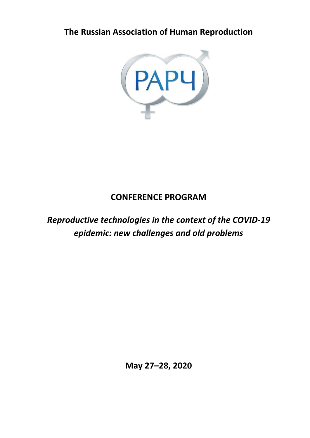**The Russian Association of Human Reproduction**



# **CONFERENCE PROGRAM**

# *Reproductive technologies in the context of the COVID-19 epidemic: new challenges and old problems*

**May 27–28, 2020**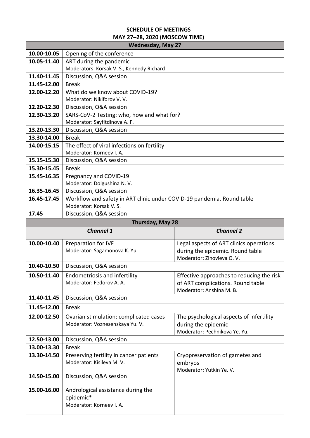# **SCHEDULE OF MEETINGS MAY 27–28, 2020 (MOSCOW TIME)**

| <b>Wednesday, May 27</b>   |                                                                         |                                           |  |
|----------------------------|-------------------------------------------------------------------------|-------------------------------------------|--|
| 10.00-10.05                | Opening of the conference                                               |                                           |  |
| 10.05-11.40                | ART during the pandemic                                                 |                                           |  |
|                            | Moderators: Korsak V. S., Kennedy Richard                               |                                           |  |
| 11.40-11.45                | Discussion, Q&A session                                                 |                                           |  |
| 11.45-12.00                | <b>Break</b>                                                            |                                           |  |
| 12.00-12.20                | What do we know about COVID-19?                                         |                                           |  |
|                            | Moderator: Nikiforov V. V.                                              |                                           |  |
| 12.20-12.30                | Discussion, Q&A session                                                 |                                           |  |
| 12.30-13.20                | SARS-CoV-2 Testing: who, how and what for?                              |                                           |  |
|                            | Moderator: Sayfitdinova A. F.                                           |                                           |  |
| 13.20-13.30<br>13.30-14.00 | Discussion, Q&A session<br><b>Break</b>                                 |                                           |  |
| 14.00-15.15                |                                                                         |                                           |  |
|                            | The effect of viral infections on fertility<br>Moderator: Korneev I. A. |                                           |  |
| 15.15-15.30                | Discussion, Q&A session                                                 |                                           |  |
| 15.30-15.45                | <b>Break</b>                                                            |                                           |  |
| 15.45-16.35                | Pregnancy and COVID-19                                                  |                                           |  |
|                            | Moderator: Dolgushina N. V.                                             |                                           |  |
| 16.35-16.45                | Discussion, Q&A session                                                 |                                           |  |
| 16.45-17.45                | Workflow and safety in ART clinic under COVID-19 pandemia. Round table  |                                           |  |
|                            | Moderator: Korsak V. S.                                                 |                                           |  |
| 17.45                      | Discussion, Q&A session                                                 |                                           |  |
| Thursday, May 28           |                                                                         |                                           |  |
|                            |                                                                         |                                           |  |
|                            | <b>Channel 1</b>                                                        | <b>Channel 2</b>                          |  |
| 10.00-10.40                | Preparation for IVF                                                     | Legal aspects of ART clinics operations   |  |
|                            | Moderator: Sagamonova K. Yu.                                            | during the epidemic. Round table          |  |
|                            |                                                                         | Moderator: Zinovieva O.V.                 |  |
| 10.40-10.50                | Discussion, Q&A session                                                 |                                           |  |
| 10.50-11.40                | <b>Endometriosis and infertility</b>                                    | Effective approaches to reducing the risk |  |
|                            | Moderator: Fedorov A. A.                                                | of ART complications. Round table         |  |
|                            |                                                                         | Moderator: Anshina M. B.                  |  |
| 11.40-11.45                | Discussion, Q&A session                                                 |                                           |  |
| 11.45-12.00                | <b>Break</b>                                                            |                                           |  |
| 12.00-12.50                | Ovarian stimulation: complicated cases                                  | The psychological aspects of infertility  |  |
|                            | Moderator: Voznesenskaya Yu. V.                                         | during the epidemic                       |  |
|                            |                                                                         | Moderator: Pechnikova Ye. Yu.             |  |
| 12.50-13.00                | Discussion, Q&A session                                                 |                                           |  |
| 13.00-13.30                | <b>Break</b>                                                            |                                           |  |
| 13.30-14.50                | Preserving fertility in cancer patients                                 | Cryopreservation of gametes and           |  |
|                            | Moderator: Kisileva M. V.                                               | embryos                                   |  |
| 14.50-15.00                |                                                                         | Moderator: Yutkin Ye. V.                  |  |
|                            | Discussion, Q&A session                                                 |                                           |  |
| 15.00-16.00                | Andrological assistance during the                                      |                                           |  |
|                            | epidemic*                                                               |                                           |  |
|                            | Moderator: Korneev I. A.                                                |                                           |  |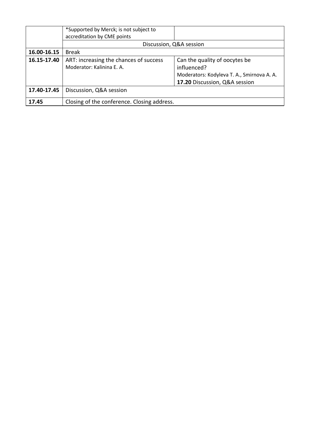|             | *Supported by Merck; is not subject to<br>accreditation by CME points |                                            |  |
|-------------|-----------------------------------------------------------------------|--------------------------------------------|--|
|             | Discussion, Q&A session                                               |                                            |  |
|             |                                                                       |                                            |  |
| 16.00-16.15 | <b>Break</b>                                                          |                                            |  |
| 16.15-17.40 | ART: increasing the chances of success                                | Can the quality of oocytes be              |  |
|             | Moderator: Kalinina E. A.                                             | influenced?                                |  |
|             |                                                                       | Moderators: Kodyleva T. A., Smirnova A. A. |  |
|             |                                                                       | 17.20 Discussion, Q&A session              |  |
| 17.40-17.45 | Discussion, Q&A session                                               |                                            |  |
| 17.45       | Closing of the conference. Closing address.                           |                                            |  |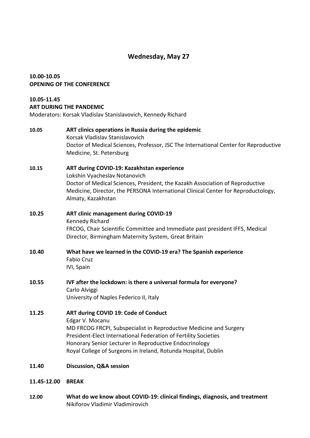# **Wednesday, May 27**

# **10.00-10.05 OPENING OF THE CONFERENCE**

# **10.05-11.45 ART DURING THE PANDEMIC**

Moderators: Korsak Vladislav Stanislavovich, Kennedy Richard

# **10.05 ART clinics operations in Russia during the epidemic** Korsak Vladislav Stanislavovich Doctor of Medical Sciences, Professor, JSC The International Center for Reproductive Medicine, St. Petersburg

# **10.15 ART during COVID-19: Kazakhstan experience** Lokshin Vyacheslav Notanovich Doctor of Medical Sciences, President, the Kazakh Association of Reproductive Medicine, Director, the PERSONA International Clinical Center for Reproductology, Almaty, Kazakhstan

# **10.25 ART clinic management during COVID-19** Kennedy Richard FRCOG, Chair Scientific Committee and Immediate past president IFFS, Medical Director, Birmingham Maternity System, Great Britain

- **10.40 What have we learned in the COVID-19 era? The Spanish experience**  Fabio Cruz IVI, Spain
- **10.55 IVF after the lockdown: is there a universal formula for everyone?** Carlo Alviggi University of Naples Federico II, Italy

# **11.25 ART during COVID 19: Code of Conduct**

Edgar V. Mocanu MD FRCOG FRCPI, Subspecialist in Reproductive Medicine and Surgery President-Elect International Federation of Fertility Societies Honorary Senior Lecturer in Reproductive Endocrinology Royal College of Surgeons in Ireland, Rotunda Hospital, Dublin

- **11.40 Discussion, Q&A session**
- **11.45-12.00 BREAK**
- **12.00 What do we know about COVID-19: clinical findings, diagnosis, and treatment** Nikiforov Vladimir Vladimirovich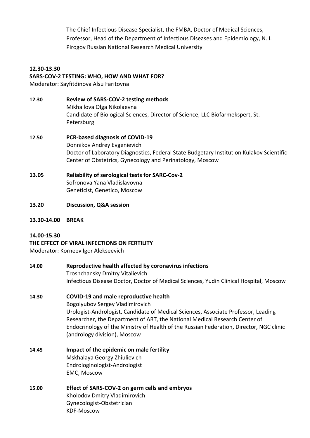The Chief Infectious Disease Specialist, the FMBA, Doctor of Medical Sciences, Professor, Head of the Department of Infectious Diseases and Epidemiology, N. I. Pirogov Russian National Research Medical University

# **12.30-13.30 SARS-COV-2 TESTING: WHO, HOW AND WHAT FOR?**

Moderator: Sayfitdinova Alsu Faritovna

- **12.30 Review of SARS-COV-2 testing methods** Mikhailova Olga Nikolaevna Candidate of Biological Sciences, Director of Science, LLC Biofarmekspert, St. Petersburg
- **12.50 PCR-based diagnosis of COVID-19** Donnikov Andrey Evgenievich Doctor of Laboratory Diagnostics, Federal State Budgetary Institution Kulakov Scientific Center of Obstetrics, Gynecology and Perinatology, Moscow
- **13.05 Reliability of serological tests for SARC-Cov-2** Sofronova Yana Vladislavovna Geneticist, Genetico, Moscow
- **13.20 Discussion, Q&A session**
- **13.30-14.00 BREAK**

# **14.00-15.30**

# **THE EFFECT OF VIRAL INFECTIONS ON FERTILITY**

Moderator: Korneev Igor Alekseevich

### **14.00 Reproductive health affected by coronavirus infections** Troshchansky Dmitry Vitalievich Infectious Disease Doctor, Doctor of Medical Sciences, Yudin Clinical Hospital, Moscow

# **14.30 COVID-19 and male reproductive health**

Bogolyubov Sergey Vladimirovich Urologist-Andrologist, Candidate of Medical Sciences, Associate Professor, Leading Researcher, the Department of ART, the National Medical Research Center of Endocrinology of the Ministry of Health of the Russian Federation, Director, NGC clinic (andrology division), Moscow

- **14.45 Impact of the epidemic on male fertility** Mskhalaya Georgy Zhiulievich Endrologinologist-Andrologist EMC, Moscow
- **15.00 Effect of SARS-COV-2 on germ cells and embryos** Kholodov Dmitry Vladimirovich Gynecologist-Obstetrician KDF-Moscow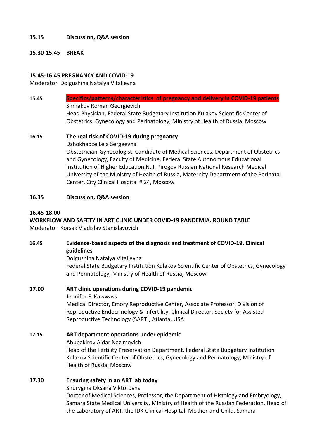### **15.15 Discussion, Q&A session**

#### **15.30-15.45 BREAK**

### **15.45-16.45 PREGNANCY AND COVID-19**

Moderator: Dolgushina Natalya Vitalievna

- **15.45 Specifics/patterns/characteristics of pregnancy and delivery in COVID-19 patients** Shmakov Roman Georgievich Head Physician, Federal State Budgetary Institution Kulakov Scientific Center of Obstetrics, Gynecology and Perinatology, Ministry of Health of Russia, Moscow
- **16.15 The real risk of COVID-19 during pregnancy** Dzhokhadze Lela Sergeevna Obstetrician-Gynecologist, Candidate of Medical Sciences, Department of Obstetrics and Gynecology, Faculty of Medicine, Federal State Autonomous Educational Institution of Higher Education N. I. Pirogov Russian National Research Medical University of the Ministry of Health of Russia, Maternity Department of the Perinatal Center, City Clinical Hospital # 24, Moscow

#### **16.35 Discussion, Q&A session**

#### **16.45-18.00**

#### **WORKFLOW AND SAFETY IN ART CLINIC UNDER COVID-19 PANDEMIA. ROUND TABLE** Moderator: Korsak Vladislav Stanislavovich

- 
- **16.45 Evidence-based aspects of the diagnosis and treatment of COVID-19. Clinical guidelines**

Dolgushina Natalya Vitalievna

Federal State Budgetary Institution Kulakov Scientific Center of Obstetrics, Gynecology and Perinatology, Ministry of Health of Russia, Moscow

#### **17.00 ART clinic operations during COVID-19 pandemic** Jennifer F. Kawwass

Medical Director, Emory Reproductive Center, Associate Professor, Division of Reproductive Endocrinology & Infertility, Clinical Director, Society for Assisted Reproductive Technology (SART), Atlanta, USA

**17.15 ART department operations under epidemic** Abubakirov Aidar Nazimovich Head of the Fertility Preservation Department, Federal State Budgetary Institution Kulakov Scientific Center of Obstetrics, Gynecology and Perinatology, Ministry of Health of Russia, Moscow

# **17.30 Ensuring safety in an ART lab today**

Shurygina Oksana Viktorovna

Doctor of Medical Sciences, Professor, the Department of Histology and Embryology, Samara State Medical University, Ministry of Health of the Russian Federation, Head of the Laboratory of ART, the IDK Clinical Hospital, Mother-and-Child, Samara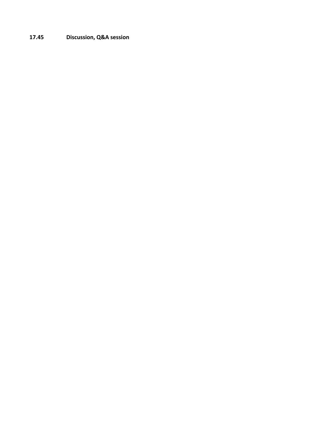# **17.45 Discussion, Q&A session**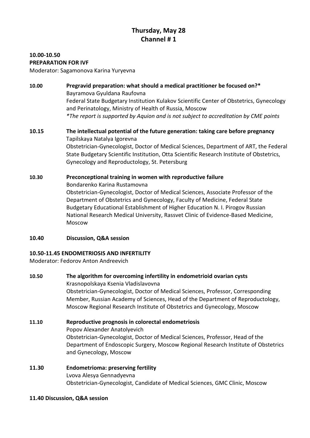# **Thursday, May 28 Channel # 1**

#### **10.00-10.50 PREPARATION FOR IVF**

Moderator: Sagamonova Karina Yuryevna

# **10.00 Pregravid preparation: what should a medical practitioner be focused on?\*** Bayramova Gyuldana Raufovna Federal State Budgetary Institution Kulakov Scientific Center of Obstetrics, Gynecology and Perinatology, Ministry of Health of Russia, Moscow *\*The report is supported by Aquion and is not subject to accreditation by CME points*

# **10.15 The intellectual potential of the future generation: taking care before pregnancy** Tapilskaya Natalya Igorevna Obstetrician-Gynecologist, Doctor of Medical Sciences, Department of ART, the Federal State Budgetary Scientific Institution, Otta Scientific Research Institute of Obstetrics, Gynecology and Reproductology, St. Petersburg

# **10.30 Preconceptional training in women with reproductive failure** Bondarenko Karina Rustamovna Obstetrician-Gynecologist, Doctor of Medical Sciences, Associate Professor of the Department of Obstetrics and Gynecology, Faculty of Medicine, Federal State Budgetary Educational Establishment of Higher Education N. I. Pirogov Russian National Research Medical University, Rassvet Clinic of Evidence-Based Medicine, Moscow

**10.40 Discussion, Q&A session**

# **10.50-11.45 ENDOMETRIOSIS AND INFERTILITY**

Moderator: Fedorov Anton Andreevich

# **10.50 The algorithm for overcoming infertility in endometrioid ovarian cysts** Krasnopolskaya Ksenia Vladislavovna Obstetrician-Gynecologist, Doctor of Medical Sciences, Professor, Corresponding Member, Russian Academy of Sciences, Head of the Department of Reproductology, Moscow Regional Research Institute of Obstetrics and Gynecology, Moscow

# **11.10 Reproductive prognosis in colorectal endometriosis** Popov Alexander Anatolyevich Obstetrician-Gynecologist, Doctor of Medical Sciences, Professor, Head of the Department of Endoscopic Surgery, Moscow Regional Research Institute of Obstetrics and Gynecology, Moscow

#### **11.30 Endometrioma: preserving fertility** Lvova Alesya Gennadyevna Obstetrician-Gynecologist, Candidate of Medical Sciences, GMC Clinic, Moscow

# **11.40 Discussion, Q&A session**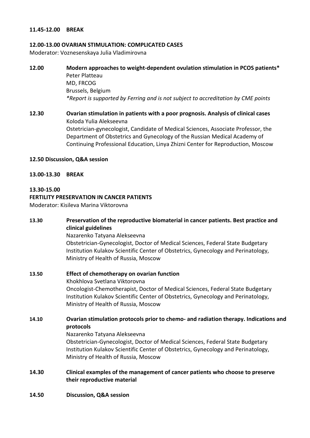#### **11.45-12.00 BREAK**

#### **12.00-13.00 OVARIAN STIMULATION: COMPLICATED CASES**

Moderator: Voznesenskaya Julia Vladimirovna

**12.00 Modern approaches to weight-dependent ovulation stimulation in PCOS patients\*** Peter Platteau MD, FRCOG Brussels, Belgium *\*Report is supported by Ferring and is not subject to accreditation by CME points*

**12.30 Ovarian stimulation in patients with a poor prognosis. Analysis of clinical cases** Koloda Yulia Alekseevna Ostetrician-gynecologist, Candidate of Medical Sciences, Associate Professor, the Department of Obstetrics and Gynecology of the Russian Medical Academy of Continuing Professional Education, Linya Zhizni Center for Reproduction, Moscow

#### **12.50 Discussion, Q&A session**

**13.00-13.30 BREAK**

#### **13.30-15.00**

#### **FERTILITY PRESERVATION IN CANCER PATIENTS**

Moderator: Kisileva Marina Viktorovna

# **13.30 Preservation of the reproductive biomaterial in cancer patients. Best practice and clinical guidelines** Nazarenko Tatyana Alekseevna Obstetrician-Gynecologist, Doctor of Medical Sciences, Federal State Budgetary Institution Kulakov Scientific Center of Obstetrics, Gynecology and Perinatology, Ministry of Health of Russia, Moscow **13.50 Effect of chemotherapy on ovarian function** Khokhlova Svetlana Viktorovna Oncologist-Chemotherapist, Doctor of Medical Sciences, Federal State Budgetary Institution Kulakov Scientific Center of Obstetrics, Gynecology and Perinatology, Ministry of Health of Russia, Moscow **14.10 Ovarian stimulation protocols prior to chemo- and radiation therapy. Indications and protocols** Nazarenko Tatyana Alekseevna Obstetrician-Gynecologist, Doctor of Medical Sciences, Federal State Budgetary Institution Kulakov Scientific Center of Obstetrics, Gynecology and Perinatology, Ministry of Health of Russia, Moscow

- **14.30 Clinical examples of the management of cancer patients who choose to preserve their reproductive material**
- **14.50 Discussion, Q&A session**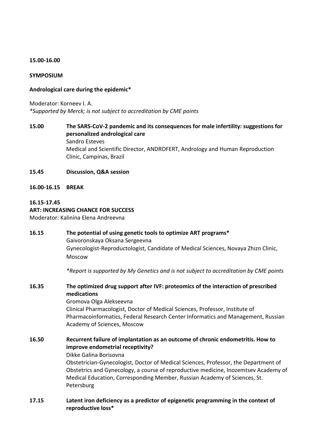#### **15.00-16.00**

#### **SYMPOSIUM**

#### **Andrological care during the epidemic\***

Moderator: Korneev I. A. *\*Supported by Merck; is not subject to accreditation by CME points*

# **15.00 The SARS-CoV-2 pandemic and its consequences for male infertility: suggestions for personalized andrological care** Sandro Esteves Medical and Scientific Director, ANDROFERT, Andrology and Human Reproduction Clinic, Campinas, Brazil

#### **15.45 Discussion, Q&A session**

**16.00-16.15 BREAK**

#### **16.15-17.45 ART: INCREASING CHANCE FOR SUCCESS** Moderator: Kalinina Elena Andreevna

# **16.15 The potential of using genetic tools to optimize ART programs\*** Gaivoronskaya Oksana Sergeevna Gynecologist-Reproductologist, Candidate of Medical Sciences, Novaya Zhizn Clinic, Moscow

*\*Report is supported by My Genetics and is not subject to accreditation by CME points*

# **16.35 The optimized drug support after IVF: proteomics of the interaction of prescribed medications**

Gromova Olga Alekseevna Clinical Pharmacologist, Doctor of Medical Sciences, Professor, Institute of Pharmacoinformatics, Federal Research Center Informatics and Management, Russian Academy of Sciences, Moscow

# **16.50 Recurrent failure of implantation as an outcome of chronic endometritis. How to improve endometrial receptivity?**

Dikke Galina Borisovna

Obstetrician-Gynecologist, Doctor of Medical Sciences, Professor, the Department of Obstetrics and Gynecology, a course of reproductive medicine, Inozemtsev Academy of Medical Education, Corresponding Member, Russian Academy of Sciences, St. Petersburg

# **17.15 Latent iron deficiency as a predictor of epigenetic programming in the context of reproductive loss\***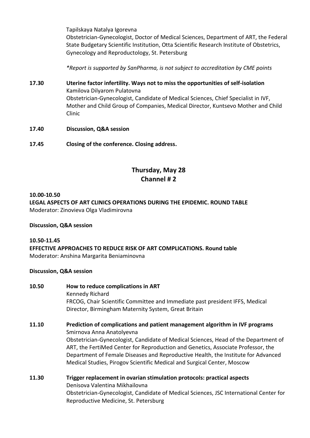Tapilskaya Natalya Igorevna

Obstetrician-Gynecologist, Doctor of Medical Sciences, Department of ART, the Federal State Budgetary Scientific Institution, Otta Scientific Research Institute of Obstetrics, Gynecology and Reproductology, St. Petersburg

*\*Report is supported by SanPharma, is not subject to accreditation by CME points*

- **17.30 Uterine factor infertility. Ways not to miss the opportunities of self-isolation** Kamilova Dilyarom Pulatovna Obstetrician-Gynecologist, Candidate of Medical Sciences, Chief Specialist in IVF, Mother and Child Group of Companies, Medical Director, Kuntsevo Mother and Child Clinic
- **17.40 Discussion, Q&A session**
- **17.45 Closing of the conference. Closing address.**

# **Thursday, May 28 Channel # 2**

# **10.00-10.50 LEGAL ASPECTS OF ART CLINICS OPERATIONS DURING THE EPIDEMIC. ROUND TABLE** Moderator: Zinovieva Olga Vladimirovna

# **Discussion, Q&A session**

**10.50-11.45 EFFECTIVE APPROACHES TO REDUCE RISK OF ART COMPLICATIONS. Round table** Moderator: Anshina Margarita Beniaminovna

# **Discussion, Q&A session**

# **10.50 How to reduce complications in ART** Kennedy Richard FRCOG, Chair Scientific Committee and Immediate past president IFFS, Medical Director, Birmingham Maternity System, Great Britain

- **11.10 Prediction of complications and patient management algorithm in IVF programs** Smirnova Anna Anatolyevna Obstetrician-Gynecologist, Candidate of Medical Sciences, Head of the Department of ART, the FertiMed Center for Reproduction and Genetics, Associate Professor, the Department of Female Diseases and Reproductive Health, the Institute for Advanced Medical Studies, Pirogov Scientific Medical and Surgical Center, Moscow
- **11.30 Trigger replacement in ovarian stimulation protocols: practical aspects** Denisova Valentina Mikhailovna Obstetrician-Gynecologist, Candidate of Medical Sciences, JSC International Center for Reproductive Medicine, St. Petersburg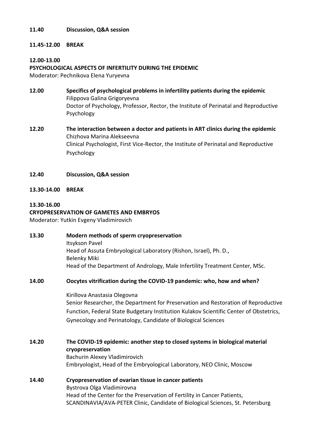#### **11.40 Discussion, Q&A session**

# **11.45-12.00 BREAK**

# **12.00-13.00**

### **PSYCHOLOGICAL ASPECTS OF INFERTILITY DURING THE EPIDEMIC**

Moderator: Pechnikova Elena Yuryevna

- **12.00 Specifics of psychological problems in infertility patients during the epidemic** Filippova Galina Grigoryevna Doctor of Psychology, Professor, Rector, the Institute of Perinatal and Reproductive Psychology
- **12.20 The interaction between a doctor and patients in ART clinics during the epidemic** Chizhova Marina Alekseevna Clinical Psychologist, First Vice-Rector, the Institute of Perinatal and Reproductive Psychology
- **12.40 Discussion, Q&A session**
- **13.30-14.00 BREAK**

#### **13.30-16.00**

#### **CRYOPRESERVATION OF GAMETES AND EMBRYOS**

Moderator: Yutkin Evgeny Vladimirovich

**13.30 Modern methods of sperm cryopreservation**  Itsykson Pavel Head of Assuta Embryological Laboratory (Rishon, Israel), Ph. D., Belenky Miki Head of the Department of Andrology, Male Infertility Treatment Center, MSc.

# **14.00 Oocytes vitrification during the COVID-19 pandemic: who, how and when?**

Kirillova Anastasia Olegovna Senior Researcher, the Department for Preservation and Restoration of Reproductive Function, Federal State Budgetary Institution Kulakov Scientific Center of Obstetrics, Gynecology and Perinatology, Candidate of Biological Sciences

- **14.20 The COVID-19 epidemic: another step to closed systems in biological material cryopreservation** Bachurin Alexey Vladimirovich Embryologist, Head of the Embryological Laboratory, NEO Clinic, Moscow
- **14.40 Cryopreservation of ovarian tissue in cancer patients** Bystrova Olga Vladimirovna Head of the Center for the Preservation of Fertility in Cancer Patients, SCANDINAVIA/AVA-PETER Clinic, Candidate of Biological Sciences, St. Petersburg